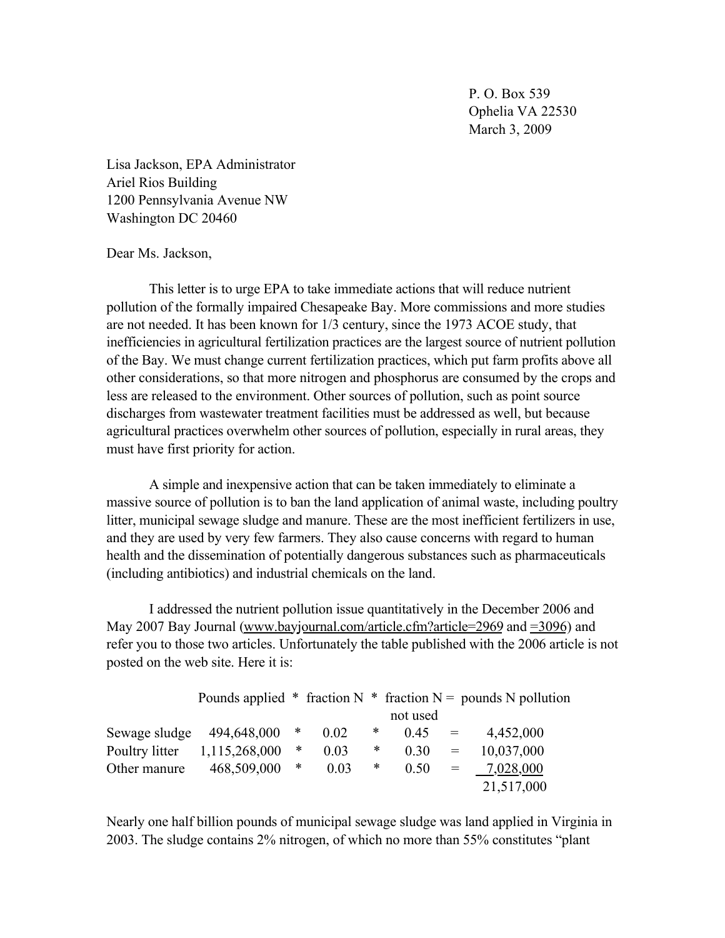P. O. Box 539 Ophelia VA 22530 March 3, 2009

Lisa Jackson, EPA Administrator Ariel Rios Building 1200 Pennsylvania Avenue NW Washington DC 20460

## Dear Ms. Jackson,

This letter is to urge EPA to take immediate actions that will reduce nutrient pollution of the formally impaired Chesapeake Bay. More commissions and more studies are not needed. It has been known for 1/3 century, since the 1973 ACOE study, that inefficiencies in agricultural fertilization practices are the largest source of nutrient pollution of the Bay. We must change current fertilization practices, which put farm profits above all other considerations, so that more nitrogen and phosphorus are consumed by the crops and less are released to the environment. Other sources of pollution, such as point source discharges from wastewater treatment facilities must be addressed as well, but because agricultural practices overwhelm other sources of pollution, especially in rural areas, they must have first priority for action.

A simple and inexpensive action that can be taken immediately to eliminate a massive source of pollution is to ban the land application of animal waste, including poultry litter, municipal sewage sludge and manure. These are the most inefficient fertilizers in use, and they are used by very few farmers. They also cause concerns with regard to human health and the dissemination of potentially dangerous substances such as pharmaceuticals (including antibiotics) and industrial chemicals on the land.

I addressed the nutrient pollution issue quantitatively in the December 2006 and May 2007 Bay Journal (www.bayjournal.com/article.cfm?article=2969 and =3096) and refer you to those two articles. Unfortunately the table published with the 2006 article is not posted on the web site. Here it is:

|                |               |        |      |   |          |     | Pounds applied * fraction N * fraction N = pounds N pollution |
|----------------|---------------|--------|------|---|----------|-----|---------------------------------------------------------------|
|                |               |        |      |   | not used |     |                                                               |
| Sewage sludge  | 494,648,000   | *      | 0.02 | ∗ | 0.45     | $=$ | 4,452,000                                                     |
| Poultry litter | 1,115,268,000 | *      | 0.03 | * | 0.30     | $=$ | 10,037,000                                                    |
| Other manure   | 468,509,000   | $\ast$ | 0.03 | ∗ | 0.50     | $=$ | 7,028,000                                                     |
|                |               |        |      |   |          |     | 21,517,000                                                    |

Nearly one half billion pounds of municipal sewage sludge was land applied in Virginia in 2003. The sludge contains 2% nitrogen, of which no more than 55% constitutes "plant